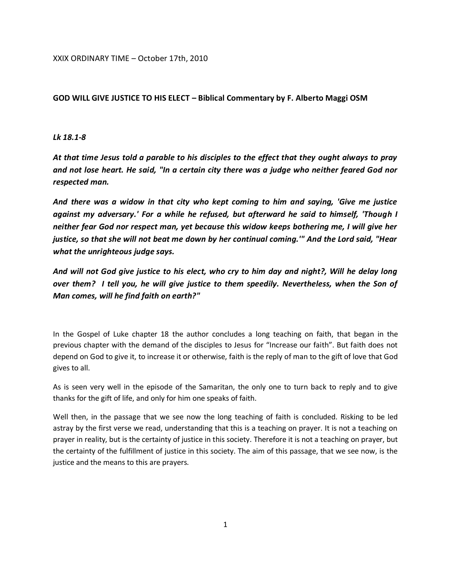XXIX ORDINARY TIME – October 17th, 2010

## **GOD WILL GIVE JUSTICE TO HIS ELECT – Biblical Commentary by F. Alberto Maggi OSM**

## *Lk 18.1-8*

*At that time Jesus told a parable to his disciples to the effect that they ought always to pray and not lose heart. He said, "In a certain city there was a judge who neither feared God nor respected man.*

*And there was a widow in that city who kept coming to him and saying, 'Give me justice against my adversary.' For a while he refused, but afterward he said to himself, 'Though I neither fear God nor respect man, yet because this widow keeps bothering me, I will give her justice, so that she will not beat me down by her continual coming.'" And the Lord said, "Hear what the unrighteous judge says.*

*And will not God give justice to his elect, who cry to him day and night?, Will he delay long over them? I tell you, he will give justice to them speedily. Nevertheless, when the Son of Man comes, will he find faith on earth?"*

In the Gospel of Luke chapter 18 the author concludes a long teaching on faith, that began in the previous chapter with the demand of the disciples to Jesus for "Increase our faith". But faith does not depend on God to give it, to increase it or otherwise, faith is the reply of man to the gift of love that God gives to all.

As is seen very well in the episode of the Samaritan, the only one to turn back to reply and to give thanks for the gift of life, and only for him one speaks of faith.

Well then, in the passage that we see now the long teaching of faith is concluded. Risking to be led astray by the first verse we read, understanding that this is a teaching on prayer. It is not a teaching on prayer in reality, but is the certainty of justice in this society. Therefore it is not a teaching on prayer, but the certainty of the fulfillment of justice in this society. The aim of this passage, that we see now, is the justice and the means to this are prayers.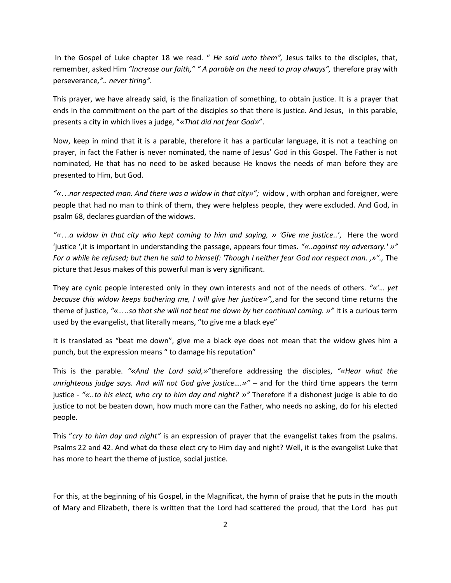In the Gospel of Luke chapter 18 we read. " *He said unto them",* Jesus talks to the disciples, that, remember, asked Him *"Increase our faith," " A parable on the need to pray always",* therefore pray with perseverance*,".. never tiring".* 

This prayer, we have already said, is the finalization of something, to obtain justice. It is a prayer that ends in the commitment on the part of the disciples so that there is justice. And Jesus, in this parable, presents a city in which lives a judge, "*«That did not fear God»*".

Now, keep in mind that it is a parable, therefore it has a particular language, it is not a teaching on prayer, in fact the Father is never nominated, the name of Jesus' God in this Gospel. The Father is not nominated, He that has no need to be asked because He knows the needs of man before they are presented to Him, but God.

*"«…nor respected man. And there was a widow in that city»";* widow , with orphan and foreigner, were people that had no man to think of them, they were helpless people, they were excluded. And God, in psalm 68, declares guardian of the widows.

*"«…a widow in that city who kept coming to him and saying, » 'Give me justice..'*, Here the word 'justice ',it is important in understanding the passage, appears four times. *"«..against my adversary.' »" For a while he refused; but then he said to himself: 'Though I neither fear God nor respect man. ,»".,* The picture that Jesus makes of this powerful man is very significant.

They are cynic people interested only in they own interests and not of the needs of others. *"«'… yet because this widow keeps bothering me, I will give her justice»",,*and for the second time returns the theme of justice, *"«….so that she will not beat me down by her continual coming. »"* It is a curious term used by the evangelist, that literally means, "to give me a black eye"

It is translated as "beat me down", give me a black eye does not mean that the widow gives him a punch, but the expression means " to damage his reputation"

This is the parable. *"«And the Lord said,»"*therefore addressing the disciples, *"«Hear what the unrighteous judge says. And will not God give justice….»" –* and for the third time appears the term justice - *"«..to his elect, who cry to him day and night? »"* Therefore if a dishonest judge is able to do justice to not be beaten down, how much more can the Father, who needs no asking, do for his elected people.

This "*cry to him day and night"* is an expression of prayer that the evangelist takes from the psalms*.*  Psalms 22 and 42. And what do these elect cry to Him day and night? Well, it is the evangelist Luke that has more to heart the theme of justice, social justice.

For this, at the beginning of his Gospel, in the Magnificat, the hymn of praise that he puts in the mouth of Mary and Elizabeth, there is written that the Lord had scattered the proud, that the Lord has put